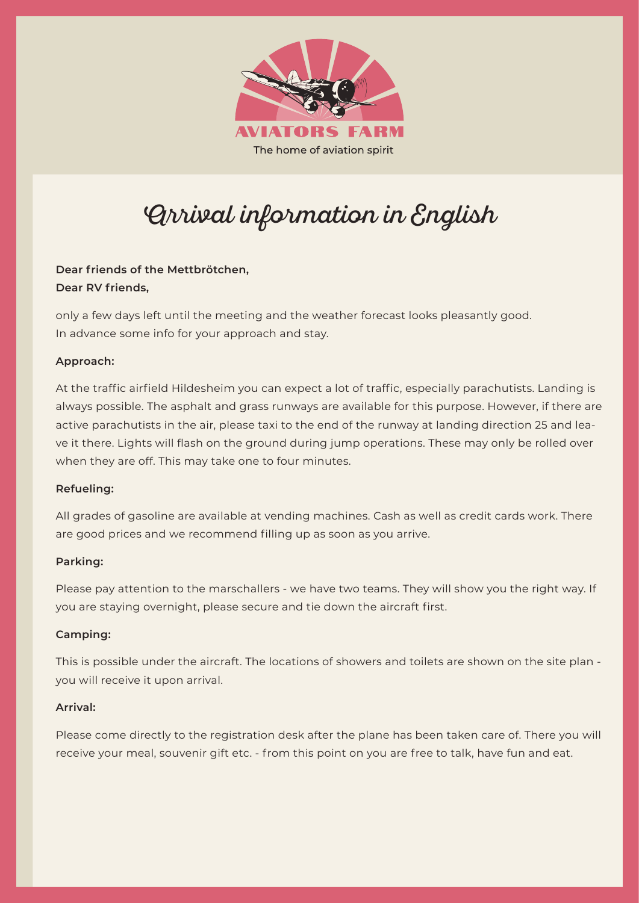

# Arrival information in English

# **Dear friends of the Mettbrötchen, Dear RV friends,**

only a few days left until the meeting and the weather forecast looks pleasantly good. In advance some info for your approach and stay.

# **Approach:**

At the traffic airfield Hildesheim you can expect a lot of traffic, especially parachutists. Landing is always possible. The asphalt and grass runways are available for this purpose. However, if there are active parachutists in the air, please taxi to the end of the runway at landing direction 25 and leave it there. Lights will flash on the ground during jump operations. These may only be rolled over when they are off. This may take one to four minutes.

# **Refueling:**

All grades of gasoline are available at vending machines. Cash as well as credit cards work. There are good prices and we recommend filling up as soon as you arrive.

# **Parking:**

Please pay attention to the marschallers - we have two teams. They will show you the right way. If you are staying overnight, please secure and tie down the aircraft first.

# **Camping:**

This is possible under the aircraft. The locations of showers and toilets are shown on the site plan you will receive it upon arrival.

## **Arrival:**

Please come directly to the registration desk after the plane has been taken care of. There you will receive your meal, souvenir gift etc. - from this point on you are free to talk, have fun and eat.